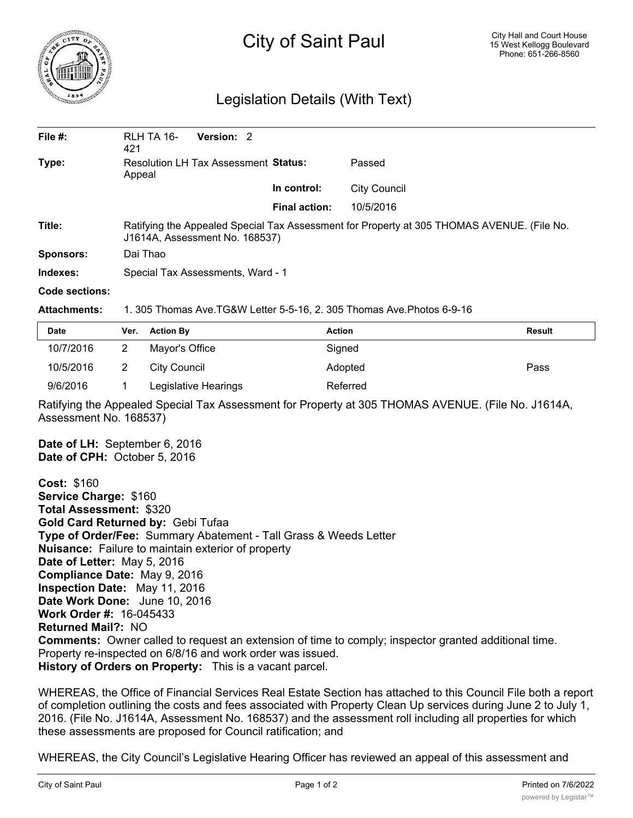

# City of Saint Paul

# Legislation Details (With Text)

| File $#$ :       | RLH TA 16-<br>421                                                                                                            | Version: 2 |                      |                     |  |
|------------------|------------------------------------------------------------------------------------------------------------------------------|------------|----------------------|---------------------|--|
| Type:            | Resolution LH Tax Assessment Status:<br>Appeal                                                                               |            |                      | Passed              |  |
|                  |                                                                                                                              |            | In control:          | <b>City Council</b> |  |
|                  |                                                                                                                              |            | <b>Final action:</b> | 10/5/2016           |  |
| Title:           | Ratifying the Appealed Special Tax Assessment for Property at 305 THOMAS AVENUE. (File No.<br>J1614A, Assessment No. 168537) |            |                      |                     |  |
| <b>Sponsors:</b> | Dai Thao                                                                                                                     |            |                      |                     |  |
| Indexes:         | Special Tax Assessments, Ward - 1                                                                                            |            |                      |                     |  |

#### **Code sections:**

### **Attachments:** 1. 305 Thomas Ave.TG&W Letter 5-5-16, 2. 305 Thomas Ave.Photos 6-9-16

| <b>Date</b> | Ver. | <b>Action By</b>     | <b>Action</b> | <b>Result</b> |
|-------------|------|----------------------|---------------|---------------|
| 10/7/2016   |      | Mayor's Office       | Signed        |               |
| 10/5/2016   |      | City Council         | Adopted       | Pass          |
| 9/6/2016    |      | Legislative Hearings | Referred      |               |

Ratifying the Appealed Special Tax Assessment for Property at 305 THOMAS AVENUE. (File No. J1614A, Assessment No. 168537)

**Date of LH:** September 6, 2016 **Date of CPH:** October 5, 2016

**Cost:** \$160 **Service Charge:** \$160 **Total Assessment:** \$320 **Gold Card Returned by:** Gebi Tufaa **Type of Order/Fee:** Summary Abatement - Tall Grass & Weeds Letter **Nuisance:** Failure to maintain exterior of property **Date of Letter:** May 5, 2016 **Compliance Date:** May 9, 2016 **Inspection Date:** May 11, 2016 **Date Work Done:** June 10, 2016 **Work Order #:** 16-045433 **Returned Mail?:** NO **Comments:** Owner called to request an extension of time to comply; inspector granted additional time. Property re-inspected on 6/8/16 and work order was issued. **History of Orders on Property:** This is a vacant parcel.

WHEREAS, the Office of Financial Services Real Estate Section has attached to this Council File both a report of completion outlining the costs and fees associated with Property Clean Up services during June 2 to July 1, 2016. (File No. J1614A, Assessment No. 168537) and the assessment roll including all properties for which these assessments are proposed for Council ratification; and

WHEREAS, the City Council's Legislative Hearing Officer has reviewed an appeal of this assessment and